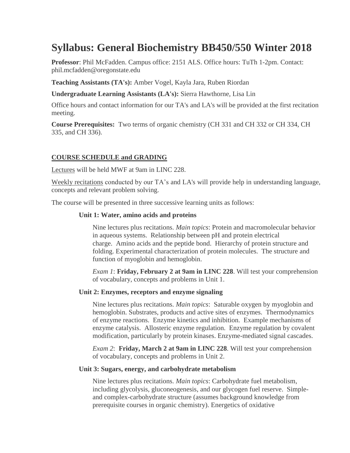# **Syllabus: General Biochemistry BB450/550 Winter 2018**

**Professor**: Phil McFadden. Campus office: 2151 ALS. Office hours: TuTh 1-2pm. Contact: phil.mcfadden@oregonstate.edu

**Teaching Assistants (TA's):** Amber Vogel, Kayla Jara, Ruben Riordan

**Undergraduate Learning Assistants (LA's):** Sierra Hawthorne, Lisa Lin

Office hours and contact information for our TA's and LA's will be provided at the first recitation meeting.

**Course Prerequisites:** Two terms of organic chemistry (CH 331 and CH 332 or CH 334, CH 335, and CH 336).

# **COURSE SCHEDULE and GRADING**

Lectures will be held MWF at 9am in LINC 228.

Weekly recitations conducted by our TA's and LA's will provide help in understanding language, concepts and relevant problem solving.

The course will be presented in three successive learning units as follows:

#### **Unit 1: Water, amino acids and proteins**

Nine lectures plus recitations. *Main topics*: Protein and macromolecular behavior in aqueous systems. Relationship between pH and protein electrical charge. Amino acids and the peptide bond. Hierarchy of protein structure and folding. Experimental characterization of protein molecules. The structure and function of myoglobin and hemoglobin.

*Exam 1*: **Friday, February 2 at 9am in LINC 228**. Will test your comprehension of vocabulary, concepts and problems in Unit 1.

#### **Unit 2: Enzymes, receptors and enzyme signaling**

Nine lectures plus recitations. *Main topics*: Saturable oxygen by myoglobin and hemoglobin. Substrates, products and active sites of enzymes. Thermodynamics of enzyme reactions. Enzyme kinetics and inhibition. Example mechanisms of enzyme catalysis. Allosteric enzyme regulation. Enzyme regulation by covalent modification, particularly by protein kinases. Enzyme-mediated signal cascades.

*Exam 2*: **Friday, March 2 at 9am in LINC 228**. Will test your comprehension of vocabulary, concepts and problems in Unit 2.

#### **Unit 3: Sugars, energy, and carbohydrate metabolism**

Nine lectures plus recitations. *Main topics*: Carbohydrate fuel metabolism, including glycolysis, gluconeogenesis, and our glycogen fuel reserve. Simpleand complex-carbohydrate structure (assumes background knowledge from prerequisite courses in organic chemistry). Energetics of oxidative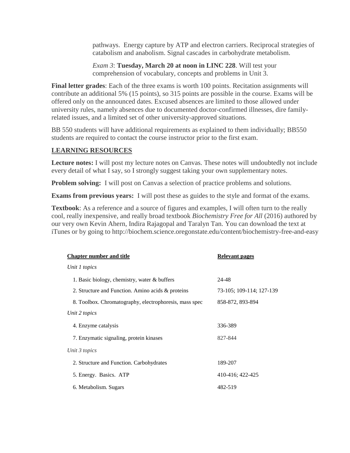pathways. Energy capture by ATP and electron carriers. Reciprocal strategies of catabolism and anabolism. Signal cascades in carbohydrate metabolism.

*Exam 3*: **Tuesday, March 20 at noon in LINC 228**. Will test your comprehension of vocabulary, concepts and problems in Unit 3.

**Final letter grades**: Each of the three exams is worth 100 points. Recitation assignments will contribute an additional 5% (15 points), so 315 points are possible in the course. Exams will be offered only on the announced dates. Excused absences are limited to those allowed under university rules, namely absences due to documented doctor-confirmed illnesses, dire familyrelated issues, and a limited set of other university-approved situations.

BB 550 students will have additional requirements as explained to them individually; BB550 students are required to contact the course instructor prior to the first exam.

#### **LEARNING RESOURCES**

**Lecture notes:** I will post my lecture notes on Canvas. These notes will undoubtedly not include every detail of what I say, so I strongly suggest taking your own supplementary notes.

**Problem solving:** I will post on Canvas a selection of practice problems and solutions.

**Exams from previous years:** I will post these as guides to the style and format of the exams.

**Textbook**: As a reference and a source of figures and examples, I will often turn to the really cool, really inexpensive, and really broad textbook *Biochemistry Free for All* (2016) authored by our very own Kevin Ahern, Indira Rajagopal and Taralyn Tan. You can download the text at iTunes or by going to http://biochem.science.oregonstate.edu/content/biochemistry-free-and-easy

| <b>Chapter number and title</b>                        | Relevant pages           |
|--------------------------------------------------------|--------------------------|
| Unit 1 topics                                          |                          |
| 1. Basic biology, chemistry, water & buffers           | 24-48                    |
| 2. Structure and Function. Amino acids & proteins      | 73-105; 109-114; 127-139 |
| 8. Toolbox. Chromatography, electrophoresis, mass spec | 858-872, 893-894         |
| Unit 2 topics                                          |                          |
| 4. Enzyme catalysis                                    | 336-389                  |
| 7. Enzymatic signaling, protein kinases                | 827-844                  |
| Unit 3 topics                                          |                          |
| 2. Structure and Function. Carbohydrates               | 189-207                  |
| 5. Energy. Basics. ATP                                 | 410-416; 422-425         |
| 6. Metabolism. Sugars                                  | 482-519                  |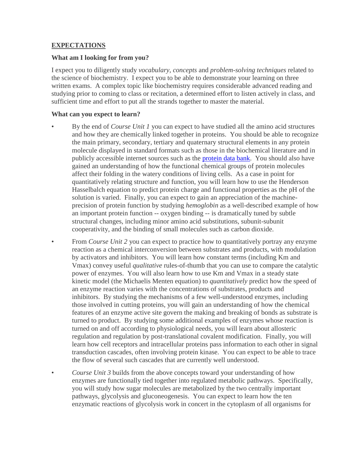### **EXPECTATIONS**

### **What am I looking for from you?**

I expect you to diligently study *vocabulary*, *concepts* and *problem-solving techniques* related to the science of biochemistry. I expect you to be able to demonstrate your learning on three written exams. A complex topic like biochemistry requires considerable advanced reading and studying prior to coming to class or recitation, a determined effort to listen actively in class, and sufficient time and effort to put all the strands together to master the material.

# **What can you expect to learn?**

- By the end of *Course Unit 1* you can expect to have studied all the amino acid structures and how they are chemically linked together in proteins. You should be able to recognize the main primary, secondary, tertiary and quaternary structural elements in any protein molecule displayed in standard formats such as those in the biochemical literature and in publicly accessible internet sources such as the [protein data bank.](http://www.rcsb.org/pdb/home/home.do) You should also have gained an understanding of how the functional chemical groups of protein molecules affect their folding in the watery conditions of living cells. As a case in point for quantitatively relating structure and function, you will learn how to use the Henderson Hasselbalch equation to predict protein charge and functional properties as the pH of the solution is varied. Finally, you can expect to gain an appreciation of the machineprecision of protein function by studying *hemoglobin* as a well-described example of how an important protein function -- oxygen binding -- is dramatically tuned by subtle structural changes, including minor amino acid substitutions, subunit-subunit cooperativity, and the binding of small molecules such as carbon dioxide.
- From *Course Unit 2* you can expect to practice how to quantitatively portray any enzyme reaction as a chemical interconversion between substrates and products, with modulation by activators and inhibitors. You will learn how constant terms (including Km and Vmax) convey useful *qualitative* rules-of-thumb that you can use to compare the catalytic power of enzymes. You will also learn how to use Km and Vmax in a steady state kinetic model (the Michaelis Menten equation) to *quantitatively* predict how the speed of an enzyme reaction varies with the concentrations of substrates, products and inhibitors. By studying the mechanisms of a few well-understood enzymes, including those involved in cutting proteins, you will gain an understanding of how the chemical features of an enzyme active site govern the making and breaking of bonds as substrate is turned to product. By studying some additional examples of enzymes whose reaction is turned on and off according to physiological needs, you will learn about allosteric regulation and regulation by post-translational covalent modification. Finally, you will learn how cell receptors and intracellular proteins pass information to each other in signal transduction cascades, often involving protein kinase. You can expect to be able to trace the flow of several such cascades that are currently well understood.
- *Course Unit 3* builds from the above concepts toward your understanding of how enzymes are functionally tied together into regulated metabolic pathways. Specifically, you will study how sugar molecules are metabolized by the two centrally important pathways, glycolysis and gluconeogenesis. You can expect to learn how the ten enzymatic reactions of glycolysis work in concert in the cytoplasm of all organisms for